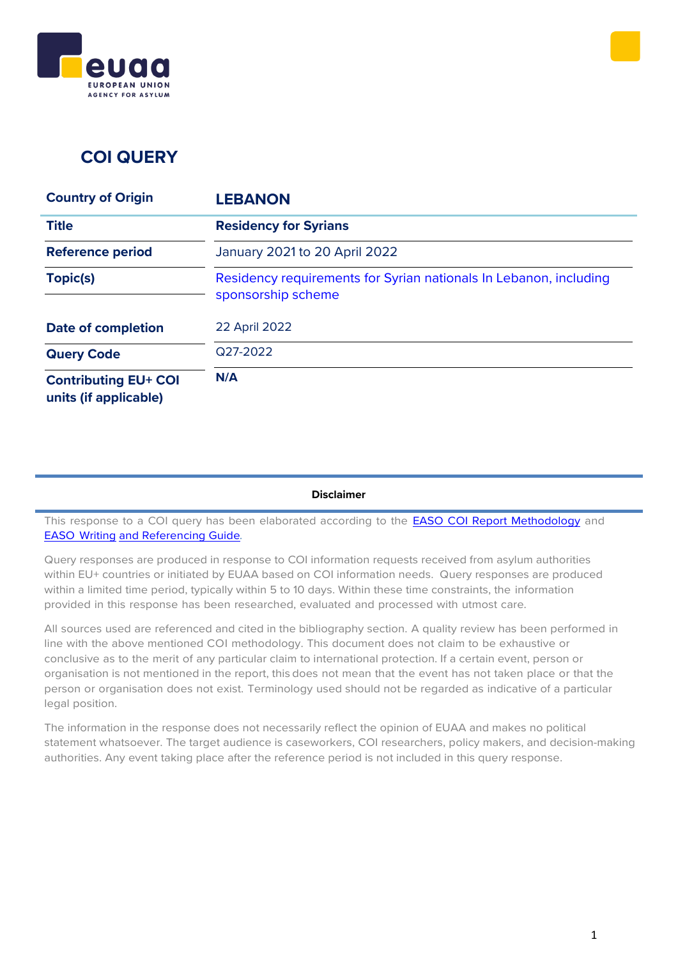



## **COI QUERY**

| <b>Country of Origin</b>                             | <b>LEBANON</b>                                                                          |
|------------------------------------------------------|-----------------------------------------------------------------------------------------|
| <b>Title</b>                                         | <b>Residency for Syrians</b>                                                            |
| <b>Reference period</b>                              | January 2021 to 20 April 2022                                                           |
| Topic(s)                                             | Residency requirements for Syrian nationals In Lebanon, including<br>sponsorship scheme |
| <b>Date of completion</b>                            | <b>22 April 2022</b>                                                                    |
| <b>Query Code</b>                                    | Q27-2022                                                                                |
| <b>Contributing EU+ COI</b><br>units (if applicable) | N/A                                                                                     |

#### **Disclaimer**

This response to a COI query has been elaborated according to the **EASO COI Report [Methodology](https://coi.easo.europa.eu/administration/easo/PLib/2019_EASO_COI_Report_Methodology.pdf)** and EASO [Writing](https://coi.easo.europa.eu/administration/easo/PLib/2019_EASO_COI_Writing_and_Referencing_Guide.pdf) and [Referencing](https://coi.easo.europa.eu/administration/easo/PLib/2019_EASO_COI_Writing_and_Referencing_Guide.pdf) Guide*.*

Query responses are produced in response to COI information requests received from asylum authorities within EU+ countries or initiated by EUAA based on COI information needs. Query responses are produced within a limited time period, typically within 5 to 10 days. Within these time constraints, the information provided in this response has been researched, evaluated and processed with utmost care.

All sources used are referenced and cited in the bibliography section. A quality review has been performed in line with the above mentioned COI methodology. This document does not claim to be exhaustive or conclusive as to the merit of any particular claim to international protection. If a certain event, person or organisation is not mentioned in the report, this does not mean that the event has not taken place or that the person or organisation does not exist. Terminology used should not be regarded as indicative of a particular legal position.

The information in the response does not necessarily reflect the opinion of EUAA and makes no political statement whatsoever. The target audience is caseworkers, COI researchers, policy makers, and decision-making authorities. Any event taking place after the reference period is not included in this query response.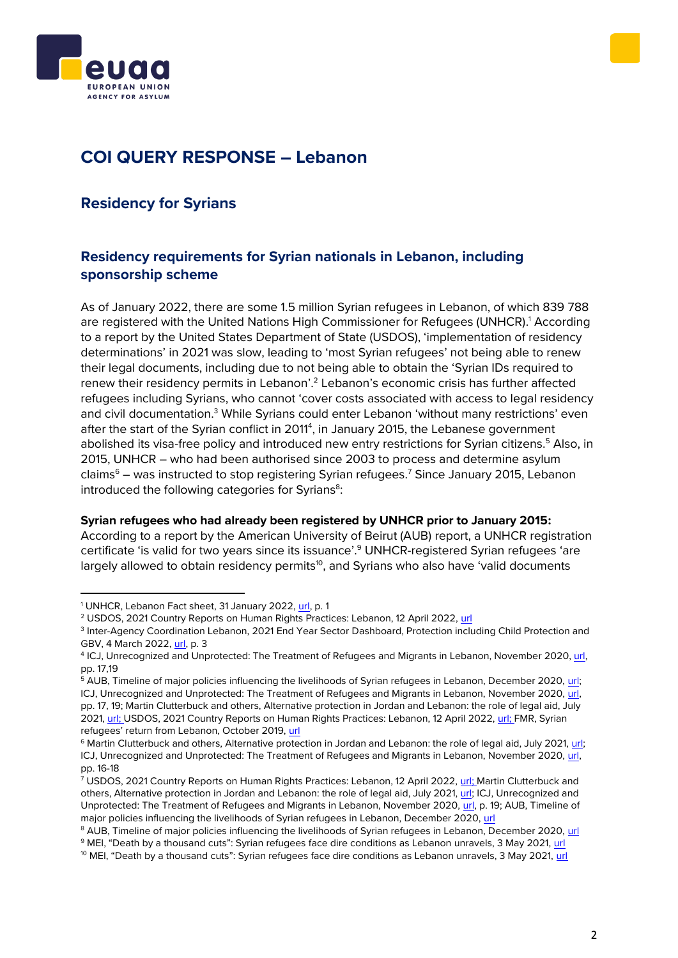



# **COI QUERY RESPONSE – Lebanon**

### **Residency for Syrians**

### <span id="page-1-0"></span>**Residency requirements for Syrian nationals in Lebanon, including sponsorship scheme**

As of January 2022, there are some 1.5 million Syrian refugees in Lebanon, of which 839 788 are registered with the United Nations High Commissioner for Refugees (UNHCR). <sup>1</sup> According to a report by the United States Department of State (USDOS), 'implementation of residency determinations' in 2021 was slow, leading to 'most Syrian refugees' not being able to renew their legal documents, including due to not being able to obtain the 'Syrian IDs required to renew their residency permits in Lebanon'.<sup>2</sup> Lebanon's economic crisis has further affected refugees including Syrians, who cannot 'cover costs associated with access to legal residency and civil documentation.<sup>3</sup> While Syrians could enter Lebanon 'without many restrictions' even after the start of the Syrian conflict in 2011<sup>4</sup>, in January 2015, the Lebanese government abolished its visa-free policy and introduced new entry restrictions for Syrian citizens.<sup>5</sup> Also, in 2015, UNHCR – who had been authorised since 2003 to process and determine asylum claims $6 -$  was instructed to stop registering Syrian refugees.<sup>7</sup> Since January 2015, Lebanon introduced the following categories for Syrians<sup>8</sup>:

#### **Syrian refugees who had already been registered by UNHCR prior to January 2015:**

According to a report by the American University of Beirut (AUB) report, a UNHCR registration certificate 'is valid for two years since its issuance'. <sup>9</sup> UNHCR-registered Syrian refugees 'are largely allowed to obtain residency permits<sup>10</sup>, and Syrians who also have 'valid documents

<sup>&</sup>lt;sup>1</sup> UNHCR, Lebanon Fact sheet, 31 January 2022, [url,](https://reliefweb.int/sites/reliefweb.int/files/resources/Lebanon%20Factsheet%20January%202022.pdf) p. 1

<sup>&</sup>lt;sup>2</sup> USDOS, 2021 Country Reports on Human Rights Practices: Lebanon, 12 April 2022, [url](https://www.state.gov/reports/2021-country-reports-on-human-rights-practices/lebanon/)

<sup>3</sup> Inter-Agency Coordination Lebanon, 2021 End Year Sector Dashboard, Protection including Child Protection and GBV, 4 March 2022, [url,](https://www.ecoi.net/en/file/local/2069091/PRT_End_Year_2021_Dashboard.pdf) p. 3

<sup>&</sup>lt;sup>4</sup> ICJ, Unrecognized and Unprotected: The Treatment of Refugees and Migrants in Lebanon, November 2020, [url,](https://www.icj.org/wp-content/uploads/2020/11/Lebanon-Migrant-rights-Publications-Reports-Thematic-reports-2020-ENG.pdf) pp. 17,19

<sup>5</sup> AUB, Timeline of major policies influencing the livelihoods of Syrian refugees in Lebanon, December 2020[, url;](https://www.aub.edu.lb/ifi/Documents/publications/infographics/2019-2020/20210208_Timeline_of_major_policies_influencing_the_livelihoods_of_Syrian_refugees_in_Lebanon_infog.pdf)  ICJ, Unrecognized and Unprotected: The Treatment of Refugees and Migrants in Lebanon, November 2020[, url,](https://www.icj.org/wp-content/uploads/2020/11/Lebanon-Migrant-rights-Publications-Reports-Thematic-reports-2020-ENG.pdf)  pp. 17, 19; Martin Clutterbuck and others, Alternative protection in Jordan and Lebanon: the role of legal aid, July 2021[, url;](https://www.fmreview.org/issue67/clutterbuck-hussein-mansour-rispo) USDOS, 2021 Country Reports on Human Rights Practices: Lebanon, 12 April 2022, [url;](https://www.state.gov/reports/2021-country-reports-on-human-rights-practices/lebanon/) FMR, Syrian refugees' return from Lebanon, October 2019, [url](https://www.fmreview.org/return/fakhoury-ozkul#_edn1)

<sup>6</sup> Martin Clutterbuck and others, Alternative protection in Jordan and Lebanon: the role of legal aid, July 2021, [url;](https://www.fmreview.org/issue67/clutterbuck-hussein-mansour-rispo) ICJ, Unrecognized and Unprotected: The Treatment of Refugees and Migrants in Lebanon, November 2020[, url,](https://www.icj.org/wp-content/uploads/2020/11/Lebanon-Migrant-rights-Publications-Reports-Thematic-reports-2020-ENG.pdf)  pp. 16-18

<sup>7</sup> USDOS, 2021 Country Reports on Human Rights Practices: Lebanon, 12 April 2022, [url;](https://www.state.gov/reports/2021-country-reports-on-human-rights-practices/lebanon/) Martin Clutterbuck and others, Alternative protection in Jordan and Lebanon: the role of legal aid, July 2021[, url;](https://www.fmreview.org/issue67/clutterbuck-hussein-mansour-rispo) ICJ, Unrecognized and Unprotected: The Treatment of Refugees and Migrants in Lebanon, November 2020[, url,](https://www.icj.org/wp-content/uploads/2020/11/Lebanon-Migrant-rights-Publications-Reports-Thematic-reports-2020-ENG.pdf) p. 19; AUB, Timeline of major policies influencing the livelihoods of Syrian refugees in Lebanon, December 2020, [url](https://www.aub.edu.lb/ifi/Documents/publications/infographics/2019-2020/20210208_Timeline_of_major_policies_influencing_the_livelihoods_of_Syrian_refugees_in_Lebanon_infog.pdf)

<sup>8</sup> AUB, Timeline of major policies influencing the livelihoods of Syrian refugees in Lebanon, December 2020[, url](https://www.aub.edu.lb/ifi/Documents/publications/infographics/2019-2020/20210208_Timeline_of_major_policies_influencing_the_livelihoods_of_Syrian_refugees_in_Lebanon_infog.pdf)

<sup>9</sup> MEI, "Death by a thousand cuts": Syrian refugees face dire conditions as Lebanon unravels, 3 May 2021, [url](https://www.mei.edu/publications/death-thousand-cuts-syrian-refugees-face-dire-conditions-lebanon-unravels)

<sup>&</sup>lt;sup>10</sup> MEI, "Death by a thousand cuts": Syrian refugees face dire conditions as Lebanon unravels, 3 May 2021, [url](https://www.mei.edu/publications/death-thousand-cuts-syrian-refugees-face-dire-conditions-lebanon-unravels)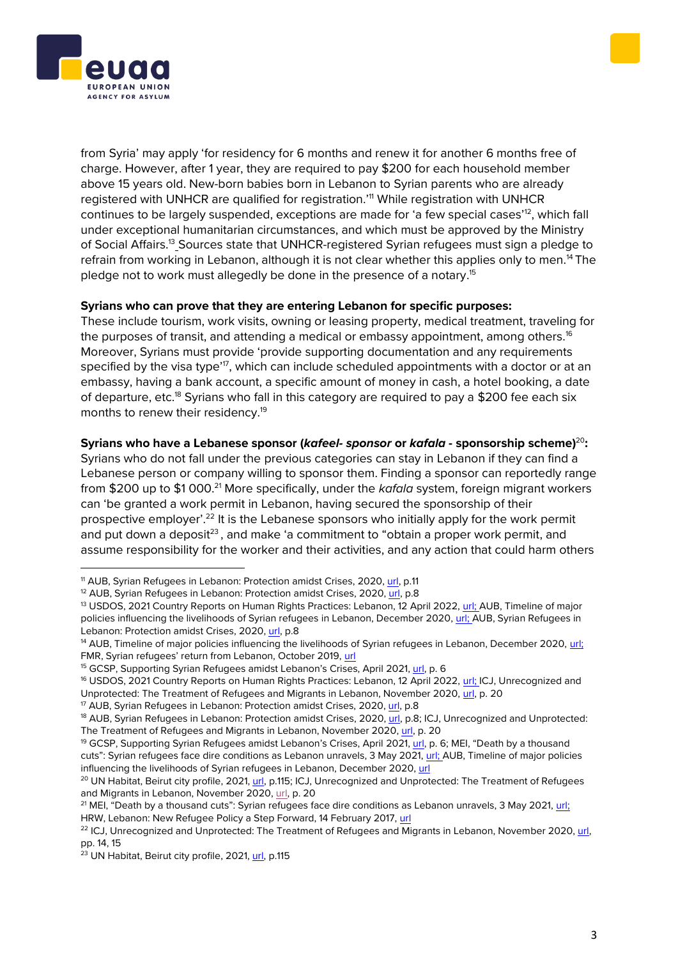



from Syria' may apply 'for residency for 6 months and renew it for another 6 months free of charge. However, after 1 year, they are required to pay \$200 for each household member above 15 years old. New-born babies born in Lebanon to Syrian parents who are already registered with UNHCR are qualified for registration.<sup>'11</sup> While registration with UNHCR continues to be largely suspended, exceptions are made for 'a few special cases'<sup>12</sup>, which fall under exceptional humanitarian circumstances, and which must be approved by the Ministry of Social Affairs.<sup>13</sup> Sources state that UNHCR-registered Syrian refugees must sign a pledge to refrain from working in Lebanon, although it is not clear whether this applies only to men.<sup>14</sup> The pledge not to work must allegedly be done in the presence of a notary.<sup>15</sup>

#### **Syrians who can prove that they are entering Lebanon for specific purposes:**

These include tourism, work visits, owning or leasing property, medical treatment, traveling for the purposes of transit, and attending a medical or embassy appointment, among others.<sup>16</sup> Moreover, Syrians must provide 'provide supporting documentation and any requirements specified by the visa type'<sup>17</sup>, which can include scheduled appointments with a doctor or at an embassy, having a bank account, a specific amount of money in cash, a hotel booking, a date of departure, etc.<sup>18</sup> Syrians who fall in this category are required to pay a \$200 fee each six months to renew their residency.<sup>19</sup>

#### **Syrians who have a Lebanese sponsor (***kafeel- sponsor* **or** *kafala* **- sponsorship scheme)** <sup>20</sup>**:**

Syrians who do not fall under the previous categories can stay in Lebanon if they can find a Lebanese person or company willing to sponsor them. Finding a sponsor can reportedly range from \$200 up to \$1 000. <sup>21</sup> More specifically, under the *kafala* system, foreign migrant workers can 'be granted a work permit in Lebanon, having secured the sponsorship of their prospective employer'.<sup>22</sup> It is the Lebanese sponsors who initially apply for the work permit and put down a deposit<sup>23</sup>, and make 'a commitment to "obtain a proper work permit, and assume responsibility for the worker and their activities, and any action that could harm others

<sup>&</sup>lt;sup>11</sup> AUB, Syrian Refugees in Lebanon: Protection amidst Crises, 2020, [url,](https://admigov.eu/upload/Trovato_2020_Lebanon_Interim_Report.pdf) p.11

<sup>&</sup>lt;sup>12</sup> AUB, Syrian Refugees in Lebanon: Protection amidst Crises, 2020[, url,](https://admigov.eu/upload/Trovato_2020_Lebanon_Interim_Report.pdf) p.8

<sup>&</sup>lt;sup>13</sup> USDOS, 2021 Country Reports on Human Rights Practices: Lebanon, 12 April 2022[, url;](https://www.state.gov/reports/2021-country-reports-on-human-rights-practices/lebanon/) AUB, Timeline of major policies influencing the livelihoods of Syrian refugees in Lebanon, December 2020, [url;](https://www.aub.edu.lb/ifi/Documents/publications/infographics/2019-2020/20210208_Timeline_of_major_policies_influencing_the_livelihoods_of_Syrian_refugees_in_Lebanon_infog.pdf) AUB, Syrian Refugees in Lebanon: Protection amidst Crises, 2020, [url,](https://admigov.eu/upload/Trovato_2020_Lebanon_Interim_Report.pdf) p.8

<sup>&</sup>lt;sup>14</sup> AUB, Timeline of major policies influencing the livelihoods of Syrian refugees in Lebanon, December 2020, url; FMR, Syrian refugees' return from Lebanon, October 2019, [url](https://www.fmreview.org/return/fakhoury-ozkul#_edn1)

<sup>&</sup>lt;sup>15</sup> GCSP, Supporting Syrian Refugees amidst Lebanon's Crises, April 2021[, url,](https://dam.gcsp.ch/files/doc/syrian-refugees-lebanon) p. 6

<sup>&</sup>lt;sup>16</sup> USDOS, 2021 Country Reports on Human Rights Practices: Lebanon, 12 April 2022[, url;](https://www.state.gov/reports/2021-country-reports-on-human-rights-practices/lebanon/) ICJ, Unrecognized and Unprotected: The Treatment of Refugees and Migrants in Lebanon, November 2020[, url,](https://www.icj.org/wp-content/uploads/2020/11/Lebanon-Migrant-rights-Publications-Reports-Thematic-reports-2020-ENG.pdf) p. 20

<sup>17</sup> AUB, Syrian Refugees in Lebanon: Protection amidst Crises, 2020, [url,](https://admigov.eu/upload/Trovato_2020_Lebanon_Interim_Report.pdf) p.8

<sup>&</sup>lt;sup>18</sup> AUB, Syrian Refugees in Lebanon: Protection amidst Crises, 2020[, url,](https://admigov.eu/upload/Trovato_2020_Lebanon_Interim_Report.pdf) p.8; ICJ, Unrecognized and Unprotected: The Treatment of Refugees and Migrants in Lebanon, November 2020[, url,](https://www.icj.org/wp-content/uploads/2020/11/Lebanon-Migrant-rights-Publications-Reports-Thematic-reports-2020-ENG.pdf) p. 20

<sup>&</sup>lt;sup>19</sup> GCSP, Supporting Syrian Refugees amidst Lebanon's Crises, April 2021[, url](https://dam.gcsp.ch/files/doc/syrian-refugees-lebanon), p. 6; MEI, "Death by a thousand cuts": Syrian refugees face dire conditions as Lebanon unravels, 3 May 2021, [url;](https://www.mei.edu/publications/death-thousand-cuts-syrian-refugees-face-dire-conditions-lebanon-unravels) AUB, Timeline of major policies influencing the livelihoods of Syrian refugees in Lebanon, December 2020, [url](https://www.aub.edu.lb/ifi/Documents/publications/infographics/2019-2020/20210208_Timeline_of_major_policies_influencing_the_livelihoods_of_Syrian_refugees_in_Lebanon_infog.pdf)

<sup>&</sup>lt;sup>20</sup> UN Habitat, Beirut city profile, 2021, [url,](https://reliefweb.int/sites/reliefweb.int/files/resources/UN-Habitat%20Beirut%20City%20Profile-compressed.pdf) p.115; ICJ, Unrecognized and Unprotected: The Treatment of Refugees and Migrants in Lebanon, November 2020[, url,](https://www.icj.org/wp-content/uploads/2020/11/Lebanon-Migrant-rights-Publications-Reports-Thematic-reports-2020-ENG.pdf) p. 20

<sup>&</sup>lt;sup>21</sup> MEI, "Death by a thousand cuts": Syrian refugees face dire conditions as Lebanon unravels, 3 May 2021, url; HRW, Lebanon: New Refugee Policy a Step Forward, 14 February 2017, [url](https://www.hrw.org/news/2017/02/14/lebanon-new-refugee-policy-step-forward)

<sup>&</sup>lt;sup>22</sup> ICJ, Unrecognized and Unprotected: The Treatment of Refugees and Migrants in Lebanon, November 2020, url, pp. 14, 15

<sup>23</sup> UN Habitat, Beirut city profile, 2021[, url,](https://reliefweb.int/sites/reliefweb.int/files/resources/UN-Habitat%20Beirut%20City%20Profile-compressed.pdf) p.115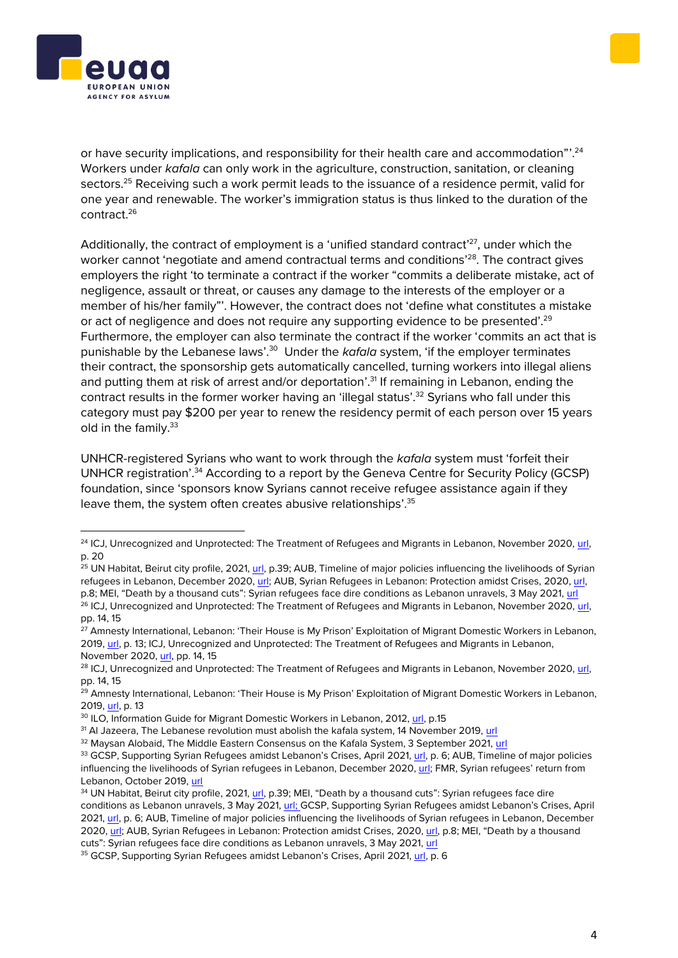or have security implications, and responsibility for their health care and accommodation"'.<sup>24</sup> Workers under *kafala* can only work in the agriculture, construction, sanitation, or cleaning sectors.<sup>25</sup> Receiving such a work permit leads to the issuance of a residence permit, valid for one year and renewable. The worker's immigration status is thus linked to the duration of the contract.<sup>26</sup>

Additionally, the contract of employment is a 'unified standard contract'<sup>27</sup>, under which the worker cannot 'negotiate and amend contractual terms and conditions'<sup>28</sup>. The contract gives employers the right 'to terminate a contract if the worker "commits a deliberate mistake, act of negligence, assault or threat, or causes any damage to the interests of the employer or a member of his/her family"'. However, the contract does not 'define what constitutes a mistake or act of negligence and does not require any supporting evidence to be presented'.<sup>29</sup> Furthermore, the employer can also terminate the contract if the worker 'commits an act that is punishable by the Lebanese laws'.<sup>30</sup> Under the *kafala* system, 'if the employer terminates their contract, the sponsorship gets automatically cancelled, turning workers into illegal aliens and putting them at risk of arrest and/or deportation'.<sup>31</sup> If remaining in Lebanon, ending the contract results in the former worker having an 'illegal status'.<sup>32</sup> Syrians who fall under this category must pay \$200 per year to renew the residency permit of each person over 15 years old in the family.<sup>33</sup>

UNHCR-registered Syrians who want to work through the *kafala* system must 'forfeit their UNHCR registration'.<sup>34</sup> According to a report by the Geneva Centre for Security Policy (GCSP) foundation, since 'sponsors know Syrians cannot receive refugee assistance again if they leave them, the system often creates abusive relationships'.<sup>35</sup>





<sup>&</sup>lt;sup>24</sup> ICJ, Unrecognized and Unprotected: The Treatment of Refugees and Migrants in Lebanon, November 2020, [url,](https://www.icj.org/wp-content/uploads/2020/11/Lebanon-Migrant-rights-Publications-Reports-Thematic-reports-2020-ENG.pdf) p. 20

<sup>&</sup>lt;sup>25</sup> UN Habitat, Beirut city profile, 2021, [url,](https://reliefweb.int/sites/reliefweb.int/files/resources/UN-Habitat%20Beirut%20City%20Profile-compressed.pdf) p.39; AUB, Timeline of major policies influencing the livelihoods of Syrian refugees in Lebanon, December 2020, [url;](https://www.aub.edu.lb/ifi/Documents/publications/infographics/2019-2020/20210208_Timeline_of_major_policies_influencing_the_livelihoods_of_Syrian_refugees_in_Lebanon_infog.pdf) AUB, Syrian Refugees in Lebanon: Protection amidst Crises, 2020[, url,](https://admigov.eu/upload/Trovato_2020_Lebanon_Interim_Report.pdf)  p.8; MEI, "Death by a thousand cuts": Syrian refugees face dire conditions as Lebanon unravels, 3 May 2021, [url](https://www.mei.edu/publications/death-thousand-cuts-syrian-refugees-face-dire-conditions-lebanon-unravels) <sup>26</sup> ICJ, Unrecognized and Unprotected: The Treatment of Refugees and Migrants in Lebanon, November 2020, url, pp. 14, 15

<sup>&</sup>lt;sup>27</sup> Amnesty International, Lebanon: 'Their House is My Prison' Exploitation of Migrant Domestic Workers in Lebanon, 2019[, url,](https://www.justice.gov/file/1156951/download) p. 13; ICJ, Unrecognized and Unprotected: The Treatment of Refugees and Migrants in Lebanon, November 2020[, url,](https://www.icj.org/wp-content/uploads/2020/11/Lebanon-Migrant-rights-Publications-Reports-Thematic-reports-2020-ENG.pdf) pp. 14, 15

<sup>&</sup>lt;sup>28</sup> ICJ, Unrecognized and Unprotected: The Treatment of Refugees and Migrants in Lebanon, November 2020, url, pp. 14, 15

<sup>&</sup>lt;sup>29</sup> Amnesty International, Lebanon: 'Their House is My Prison' Exploitation of Migrant Domestic Workers in Lebanon, 2019[, url,](https://www.justice.gov/file/1156951/download) p. 13

<sup>&</sup>lt;sup>30</sup> ILO, Information Guide for Migrant Domestic Workers in Lebanon, 2012, [url,](https://www.ilo.org/dyn/migpractice/docs/286/Lebanon.pdf) p.15

<sup>&</sup>lt;sup>31</sup> Al Jazeera, The Lebanese revolution must abolish the kafala system, 14 November 2019, [url](https://www.aljazeera.com/opinions/2019/11/14/the-lebanese-revolution-must-abolish-the-kafala-system)

<sup>&</sup>lt;sup>32</sup> Maysan Alobaid, The Middle Eastern Consensus on the Kafala System, 3 September 2021, [url](https://www.law.upenn.edu/live/blogs/99-the-middle-eastern-consensus-on-the-kafala-system) 33 GCSP, Supporting Syrian Refugees amidst Lebanon's Crises, April 2021[, url,](https://dam.gcsp.ch/files/doc/syrian-refugees-lebanon) p. 6; AUB, Timeline of major policies influencing the livelihoods of Syrian refugees in Lebanon, December 2020, [url](https://www.aub.edu.lb/ifi/Documents/publications/infographics/2019-2020/20210208_Timeline_of_major_policies_influencing_the_livelihoods_of_Syrian_refugees_in_Lebanon_infog.pdf); FMR, Syrian refugees' return from

Lebanon, October 2019, [url](https://www.fmreview.org/return/fakhoury-ozkul#_edn1) 34 UN Habitat, Beirut city profile, 2021[, url,](https://reliefweb.int/sites/reliefweb.int/files/resources/UN-Habitat%20Beirut%20City%20Profile-compressed.pdf) p.39; MEI, "Death by a thousand cuts": Syrian refugees face dire

conditions as Lebanon unravels, 3 May 2021[, url;](https://www.mei.edu/publications/death-thousand-cuts-syrian-refugees-face-dire-conditions-lebanon-unravels) GCSP, Supporting Syrian Refugees amidst Lebanon's Crises, April 2021[, url,](https://dam.gcsp.ch/files/doc/syrian-refugees-lebanon) p. 6; AUB, Timeline of major policies influencing the livelihoods of Syrian refugees in Lebanon, December 2020[, url](https://admigov.eu/upload/Trovato_2020_Lebanon_Interim_Report.pdf): AUB, Syrian Refugees in Lebanon: Protection amidst Crises, 2020, url, p.8; MEI, "Death by a thousand cuts": Syrian refugees face dire conditions as Lebanon unravels, 3 May 2021, [url](https://www.mei.edu/publications/death-thousand-cuts-syrian-refugees-face-dire-conditions-lebanon-unravels)

<sup>35</sup> GCSP, Supporting Syrian Refugees amidst Lebanon's Crises, April 2021, [url,](https://dam.gcsp.ch/files/doc/syrian-refugees-lebanon) p. 6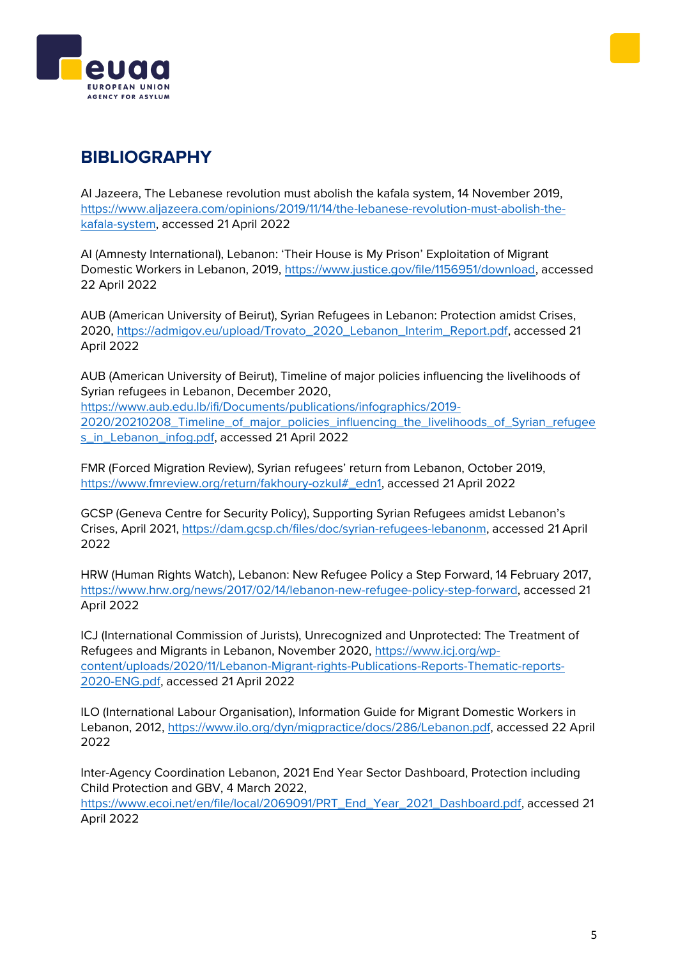



## **BIBLIOGRAPHY**

Al Jazeera, The Lebanese revolution must abolish the kafala system, 14 November 2019, [https://www.aljazeera.com/opinions/2019/11/14/the-lebanese-revolution-must-abolish-the](https://www.aljazeera.com/opinions/2019/11/14/the-lebanese-revolution-must-abolish-the-kafala-system)[kafala-system,](https://www.aljazeera.com/opinions/2019/11/14/the-lebanese-revolution-must-abolish-the-kafala-system) accessed 21 April 2022

AI (Amnesty International), Lebanon: 'Their House is My Prison' Exploitation of Migrant Domestic Workers in Lebanon, 2019, [https://www.justice.gov/file/1156951/download,](https://www.justice.gov/file/1156951/download) accessed 22 April 2022

AUB (American University of Beirut), Syrian Refugees in Lebanon: Protection amidst Crises, 2020, [https://admigov.eu/upload/Trovato\\_2020\\_Lebanon\\_Interim\\_Report.pdf,](https://admigov.eu/upload/Trovato_2020_Lebanon_Interim_Report.pdf) accessed 21 April 2022

AUB (American University of Beirut), Timeline of major policies influencing the livelihoods of Syrian refugees in Lebanon, December 2020, [https://www.aub.edu.lb/ifi/Documents/publications/infographics/2019-](https://www.aub.edu.lb/ifi/Documents/publications/infographics/2019-2020/20210208_Timeline_of_major_policies_influencing_the_livelihoods_of_Syrian_refugees_in_Lebanon_infog.pdf) [2020/20210208\\_Timeline\\_of\\_major\\_policies\\_influencing\\_the\\_livelihoods\\_of\\_Syrian\\_refugee](https://www.aub.edu.lb/ifi/Documents/publications/infographics/2019-2020/20210208_Timeline_of_major_policies_influencing_the_livelihoods_of_Syrian_refugees_in_Lebanon_infog.pdf) [s\\_in\\_Lebanon\\_infog.pdf,](https://www.aub.edu.lb/ifi/Documents/publications/infographics/2019-2020/20210208_Timeline_of_major_policies_influencing_the_livelihoods_of_Syrian_refugees_in_Lebanon_infog.pdf) accessed 21 April 2022

FMR (Forced Migration Review), Syrian refugees' return from Lebanon, October 2019, [https://www.fmreview.org/return/fakhoury-ozkul#\\_edn1,](https://www.fmreview.org/return/fakhoury-ozkul#_edn1) accessed 21 April 2022

GCSP (Geneva Centre for Security Policy), Supporting Syrian Refugees amidst Lebanon's Crises, April 2021, [https://dam.gcsp.ch/files/doc/syrian-refugees-lebanonm,](https://dam.gcsp.ch/files/doc/syrian-refugees-lebanonm) accessed 21 April 2022

HRW (Human Rights Watch), Lebanon: New Refugee Policy a Step Forward, 14 February 2017, [https://www.hrw.org/news/2017/02/14/lebanon-new-refugee-policy-step-forward,](https://www.hrw.org/news/2017/02/14/lebanon-new-refugee-policy-step-forward) accessed 21 April 2022

ICJ (International Commission of Jurists), Unrecognized and Unprotected: The Treatment of Refugees and Migrants in Lebanon, November 2020, [https://www.icj.org/wp](https://www.icj.org/wp-content/uploads/2020/11/Lebanon-Migrant-rights-Publications-Reports-Thematic-reports-2020-ENG.pdf)[content/uploads/2020/11/Lebanon-Migrant-rights-Publications-Reports-Thematic-reports-](https://www.icj.org/wp-content/uploads/2020/11/Lebanon-Migrant-rights-Publications-Reports-Thematic-reports-2020-ENG.pdf)[2020-ENG.pdf,](https://www.icj.org/wp-content/uploads/2020/11/Lebanon-Migrant-rights-Publications-Reports-Thematic-reports-2020-ENG.pdf) accessed 21 April 2022

ILO (International Labour Organisation), Information Guide for Migrant Domestic Workers in Lebanon, 2012, [https://www.ilo.org/dyn/migpractice/docs/286/Lebanon.pdf,](https://www.ilo.org/dyn/migpractice/docs/286/Lebanon.pdf) accessed 22 April 2022

Inter-Agency Coordination Lebanon, 2021 End Year Sector Dashboard, Protection including Child Protection and GBV, 4 March 2022,

[https://www.ecoi.net/en/file/local/2069091/PRT\\_End\\_Year\\_2021\\_Dashboard.pdf,](https://www.ecoi.net/en/file/local/2069091/PRT_End_Year_2021_Dashboard.pdf) accessed 21 April 2022